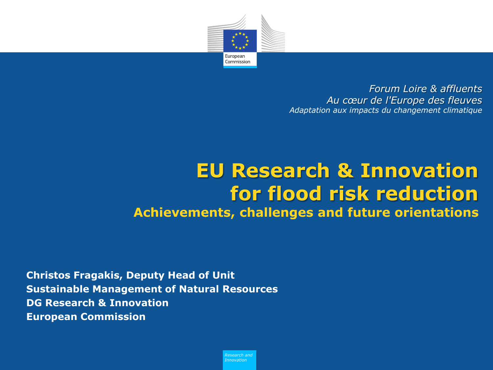

*Forum Loire & affluents Au cœur de l'Europe des fleuves Adaptation aux impacts du changement climatique*

## **EU Research & Innovation for flood risk reduction Achievements, challenges and future orientations**

**Christos Fragakis, Deputy Head of Unit Sustainable Management of Natural Resources DG Research & Innovation European Commission**

> *Research and Innovation*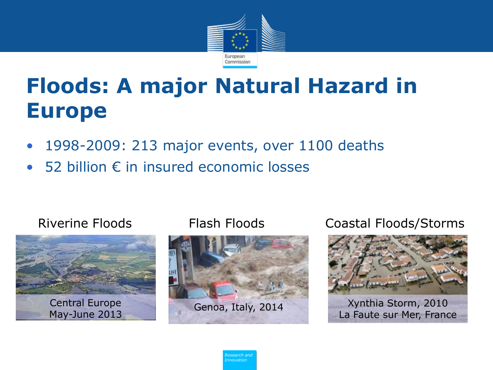

# **Floods: A major Natural Hazard in Europe**

- 1998-2009: 213 major events, over 1100 deaths
- 52 billion € in insured economic losses

### Riverine Floods Flash Floods





Coastal Floods/Storms



La Faute sur Mer, France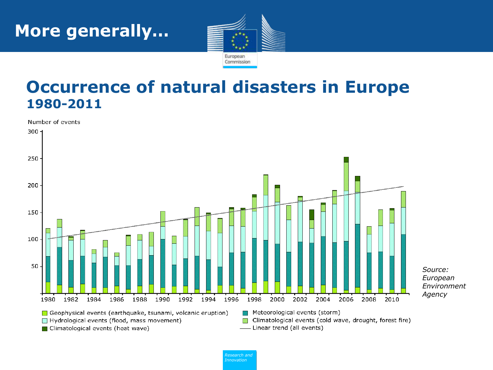

## **Occurrence of natural disasters in Europe 1980-2011**

Number of events

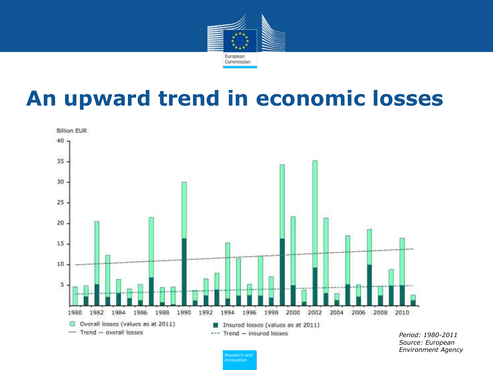

# **An upward trend in economic losses**



*Period: 1980-2011 Source: European Environment Agency*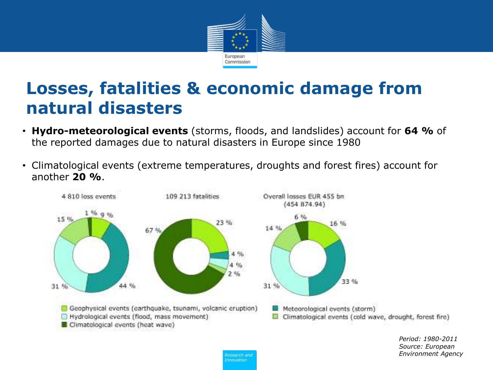

## **Losses, fatalities & economic damage from natural disasters**

- **Hydro-meteorological events** (storms, floods, and landslides) account for **64 %** of the reported damages due to natural disasters in Europe since 1980
- Climatological events (extreme temperatures, droughts and forest fires) account for another **20 %**.



*Policy Research and Innovation*

*Period: 1980-2011 Source: European Environment Agency*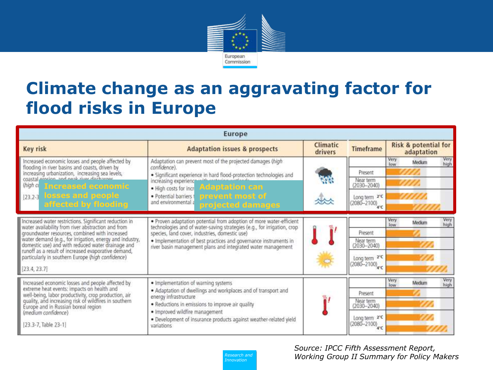

## **Climate change as an aggravating factor for flood risks in Europe**

| <b>Europe</b>                                                                                                                                                                                                                                                                                                                                                                                               |                                                                                                                                                                                                                                                                                                                                      |                     |                                                                                              |                                               |  |
|-------------------------------------------------------------------------------------------------------------------------------------------------------------------------------------------------------------------------------------------------------------------------------------------------------------------------------------------------------------------------------------------------------------|--------------------------------------------------------------------------------------------------------------------------------------------------------------------------------------------------------------------------------------------------------------------------------------------------------------------------------------|---------------------|----------------------------------------------------------------------------------------------|-----------------------------------------------|--|
| Key risk                                                                                                                                                                                                                                                                                                                                                                                                    | <b>Adaptation issues &amp; prospects</b>                                                                                                                                                                                                                                                                                             | Climatic<br>drivers | <b>Timeframe</b>                                                                             | <b>Risk &amp; potential for</b><br>adaptation |  |
| Increased economic losses and people affected by<br>flooding in river basins and coasts, driven by<br>increasing urbanization, increasing sea levels,<br>coastal groting, and post-river discharger<br>thigh a Increased economic<br>[23.2-3 losses and people<br>affected by flooding                                                                                                                      | Adaptation can prevent most of the projected damages (high<br>confidence).<br>· Significant experience in hard flood-protection technologies and<br>increasing experienc<br><b>Adaptation can</b><br>· High costs for incr<br>prevent most of<br>· Potential barriers t<br>and environmental a<br>projected damages                  | W<br>the            | Present<br>Near term<br>$(2030 - 2040)$<br>Long term 2°C<br>$(2080 - 2100)$<br>$4^{\circ}$ C | Very<br>Very<br>Medium<br>high<br>low         |  |
| Increased water restrictions. Significant reduction in<br>water availability from river abstraction and from<br>groundwater resources, combined with increased<br>water demand (e.g., for irrigation, energy and industry,<br>domestic use) and with reduced water drainage and<br>runoff as a result of increased evaporative demand,<br>particularly in southern Europe (high confidence)<br>[23.4, 23.7] | . Proven adaptation potential from adoption of more water-efficient<br>technologies and of water-saving strategies (e.g., for irrigation, crop<br>species, land cover, industries, domestic use)<br>. Implementation of best practices and governance instruments in<br>river basin management plans and integrated water management |                     | Present<br>Near term<br>2030-2040)<br>Long term $2^{\circ}$ C<br>(2080-2100) <sub>4°C</sub>  | Very<br>Very<br>high<br>Medium<br>low         |  |
| Increased economic losses and people affected by<br>extreme heat events: impacts on health and<br>well-being, labor productivity, crop production, air<br>quality, and increasing risk of wildfires in southern<br>Europe and in Russian boreal region<br>(medium confidence)<br>[23.3-7, Table 23-1]                                                                                                       | · Implementation of warning systems<br>. Adaptation of dwellings and workplaces and of transport and<br>energy infrastructure<br>. Reductions in emissions to improve air quality<br>. Improved wildfire management<br>· Development of insurance products against weather-related yield<br>variations                               | w                   | Present<br>Near term<br>$(2030 - 2040)$<br>Long term 2°C<br>$(2080 - 2100)$<br>4°C           | Very<br>Very<br>Medium<br>high<br>low         |  |

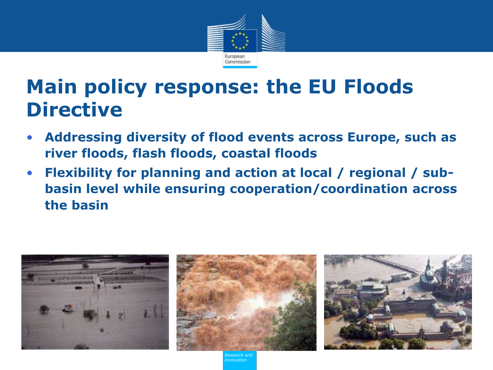

# **Main policy response: the EU Floods Directive**

- **Addressing diversity of flood events across Europe, such as river floods, flash floods, coastal floods**
- **Flexibility for planning and action at local / regional / subbasin level while ensuring cooperation/coordination across the basin**

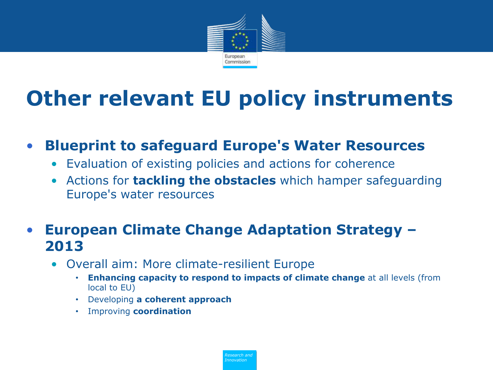

# **Other relevant EU policy instruments**

- **Blueprint to safeguard Europe's Water Resources**
	- Evaluation of existing policies and actions for coherence
	- Actions for **tackling the obstacles** which hamper safeguarding Europe's water resources

### • **European Climate Change Adaptation Strategy – 2013**

- Overall aim: More climate-resilient Europe
	- **Enhancing capacity to respond to impacts of climate change** at all levels (from local to EU)
	- Developing **a coherent approach**
	- Improving **coordination**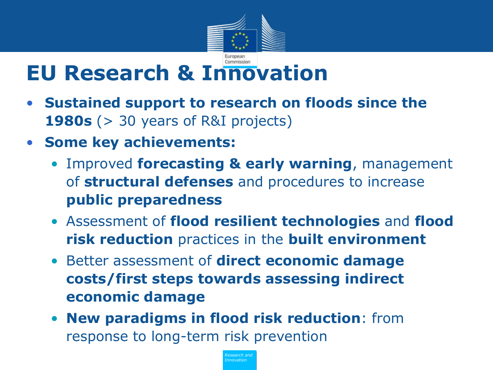

# **EU Research & Innovation**

- **Sustained support to research on floods since the 1980s** (> 30 years of R&Ι projects)
- **Some key achievements:**
	- Improved **forecasting & early warning**, management of **structural defenses** and procedures to increase **public preparedness**
	- Assessment of **flood resilient technologies** and **flood risk reduction** practices in the **built environment**
	- Better assessment of **direct economic damage costs/first steps towards assessing indirect economic damage**
	- **New paradigms in flood risk reduction**: from response to long-term risk prevention

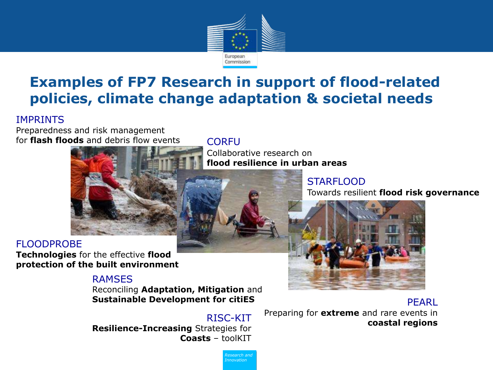

## **Examples of FP7 Research in support of flood-related policies, climate change adaptation & societal needs**

### IMPRINTS

Preparedness and risk management for **flash floods** and debris flow events CORFU



### FLOODPROBE

**Technologies** for the effective **flood protection of the built environment**

### RAMSES

Reconciling **Adaptation, Mitigation** and **Sustainable Development for citiES** PEARL

*Policy Research and Innovation*

**Resilience-Increasing** Strategies for **Coasts** – toolKIT

Collaborative research on **flood resilience in urban areas**

### **STARFLOOD**

Towards resilient **flood risk governance**



RISC-KIT Preparing for **extreme** and rare events in<br>**coastal regions**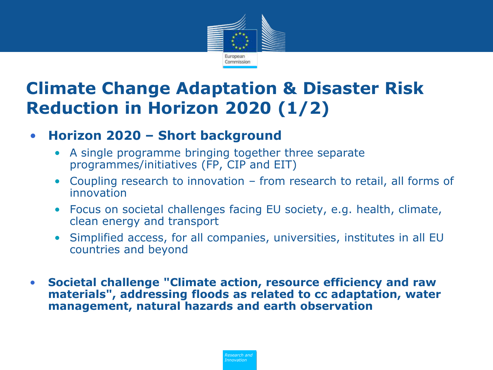

## **Climate Change Adaptation & Disaster Risk Reduction in Horizon 2020 (1/2)**

### • **Horizon 2020 – Short background**

- A single programme bringing together three separate programmes/initiatives (FP, CIP and EIT)
- Coupling research to innovation from research to retail, all forms of innovation
- Focus on societal challenges facing EU society, e.g. health, climate, clean energy and transport
- Simplified access, for all companies, universities, institutes in all EU countries and beyond
- **Societal challenge "Climate action, resource efficiency and raw materials", addressing floods as related to cc adaptation, water management, natural hazards and earth observation**

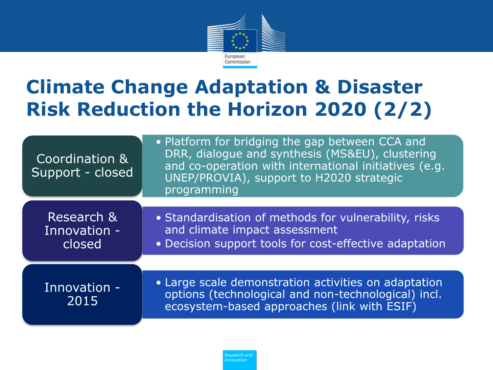

# **Climate Change Adaptation & Disaster Risk Reduction the Horizon 2020 (2/2)**

| Coordination &<br>Support - closed   | • Platform for bridging the gap between CCA and<br>DRR, dialogue and synthesis (MS&EU), clustering<br>and co-operation with international initiatives (e.g.<br>UNEP/PROVIA), support to H2020 strategic<br>programming |  |
|--------------------------------------|------------------------------------------------------------------------------------------------------------------------------------------------------------------------------------------------------------------------|--|
|                                      |                                                                                                                                                                                                                        |  |
| Research &<br>Innovation -<br>closed | • Standardisation of methods for vulnerability, risks<br>and climate impact assessment<br>• Decision support tools for cost-effective adaptation                                                                       |  |
|                                      |                                                                                                                                                                                                                        |  |
| Innovation -<br>2015                 | • Large scale demonstration activities on adaptation<br>options (technological and non-technological) incl.<br>ecosystem-based approaches (link with ESIF)                                                             |  |
|                                      |                                                                                                                                                                                                                        |  |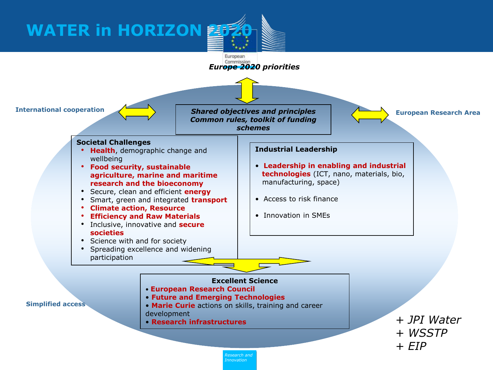**WATER in HORIZON 2020** 

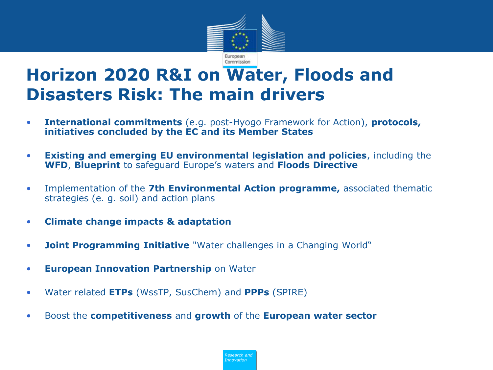

## **Horizon 2020 R&I on Water, Floods and Disasters Risk: The main drivers**

- **International commitments** (e.g. post-Hyogo Framework for Action), **protocols, initiatives concluded by the EC and its Member States**
- **Existing and emerging EU environmental legislation and policies**, including the **WFD**, **Blueprint** to safeguard Europe's waters and **Floods Directive**
- Implementation of the **7th Environmental Action programme,** associated thematic strategies (e. g. soil) and action plans
- **Climate change impacts & adaptation**
- **Joint Programming Initiative** "Water challenges in a Changing World"
- **European Innovation Partnership** on Water
- Water related **ETPs** (WssTP, SusChem) and **PPPs** (SPIRE)
- Boost the **competitiveness** and **growth** of the **European water sector**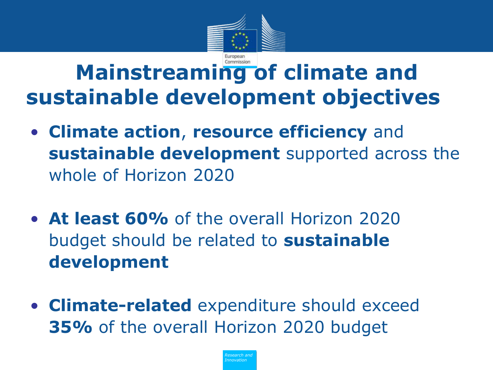

# **Mainstreaming of climate and sustainable development objectives**

- **Climate action**, **resource efficiency** and **sustainable development** supported across the whole of Horizon 2020
- **At least 60%** of the overall Horizon 2020 budget should be related to **sustainable development**
- **Climate-related** expenditure should exceed **35%** of the overall Horizon 2020 budget

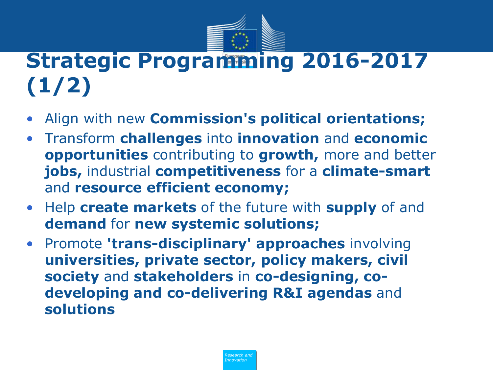

# **Strategic Programming 2016-2017 (1/2)**

- Align with new **Commission's political orientations;**
- Τransform **challenges** into **innovation** and **economic opportunities** contributing to **growth,** more and better **jobs,** industrial **competitiveness** for a **climate-smart**  and **resource efficient economy;**
- Help **create markets** of the future with **supply** of and **demand** for **new systemic solutions;**
- Promote **'trans-disciplinary' approaches** involving **universities, private sector, policy makers, civil society** and **stakeholders** in **co-designing, codeveloping and co-delivering R&I agendas** and **solutions**

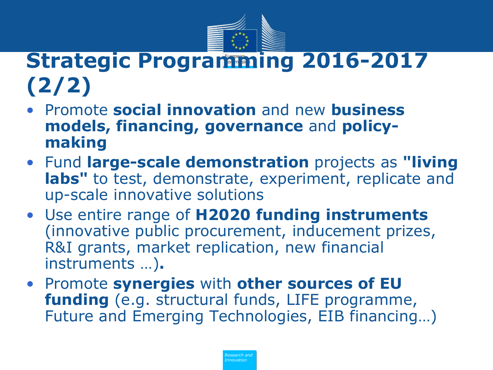

# **Strategic Programming 2016-2017 (2/2)**

- Promote **social innovation** and new **business models, financing, governance** and **policymaking**
- Fund **large-scale demonstration** projects as **"living labs"** to test, demonstrate, experiment, replicate and up-scale innovative solutions
- Use entire range of **H2020 funding instruments**  (innovative public procurement, inducement prizes, R&I grants, market replication, new financial instruments …)**.**
- Promote **synergies** with **other sources of EU funding** (e.g. structural funds, LIFE programme, Future and Emerging Technologies, EIB financing…)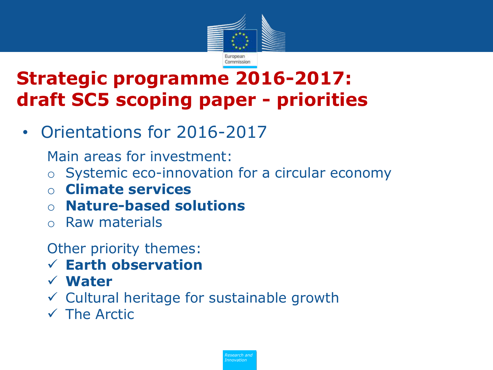

# **Strategic programme 2016-2017: draft SC5 scoping paper - priorities**

• Orientations for 2016-2017

Main areas for investment:

- o Systemic eco-innovation for a circular economy
- o **Climate services**
- o **Nature-based solutions**
- o Raw materials

Other priority themes:

- **Earth observation**
- **Water**
- $\checkmark$  Cultural heritage for sustainable growth
- $\checkmark$  The Arctic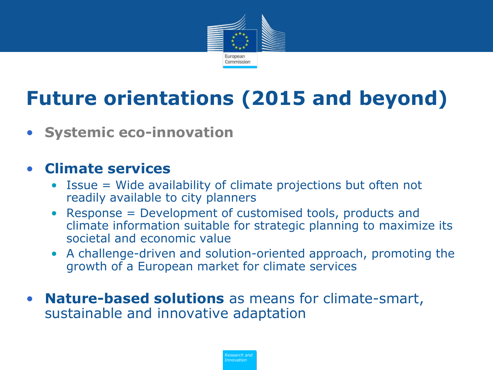

# **Future orientations (2015 and beyond)**

• **Systemic eco-innovation**

### • **Climate services**

- Issue = Wide availability of climate projections but often not readily available to city planners
- Response = Development of customised tools, products and climate information suitable for strategic planning to maximize its societal and economic value
- A challenge-driven and solution-oriented approach, promoting the growth of a European market for climate services
- **Nature-based solutions** as means for climate-smart, sustainable and innovative adaptation